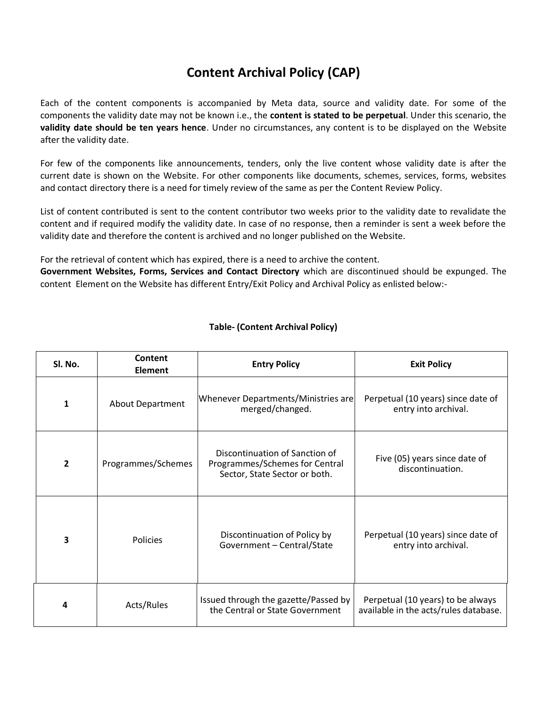## **Content Archival Policy (CAP)**

Each of the content components is accompanied by Meta data, source and validity date. For some of the components the validity date may not be known i.e., the **content is stated to be perpetual**. Under this scenario, the **validity date should be ten years hence**. Under no circumstances, any content is to be displayed on the Website after the validity date.

For few of the components like announcements, tenders, only the live content whose validity date is after the current date is shown on the Website. For other components like documents, schemes, services, forms, websites and contact directory there is a need for timely review of the same as per the Content Review Policy.

List of content contributed is sent to the content contributor two weeks prior to the validity date to revalidate the content and if required modify the validity date. In case of no response, then a reminder is sent a week before the validity date and therefore the content is archived and no longer published on the Website.

For the retrieval of content which has expired, there is a need to archive the content.

**Government Websites, Forms, Services and Contact Directory** which are discontinued should be expunged. The content Element on the Website has different Entry/Exit Policy and Archival Policy as enlisted below:-

| Sl. No.        | Content<br><b>Element</b> | <b>Entry Policy</b>                                                                               | <b>Exit Policy</b>                                                         |
|----------------|---------------------------|---------------------------------------------------------------------------------------------------|----------------------------------------------------------------------------|
| 1              | <b>About Department</b>   | Whenever Departments/Ministries are<br>merged/changed.                                            | Perpetual (10 years) since date of<br>entry into archival.                 |
| $\overline{2}$ | Programmes/Schemes        | Discontinuation of Sanction of<br>Programmes/Schemes for Central<br>Sector, State Sector or both. | Five (05) years since date of<br>discontinuation.                          |
| 3              | <b>Policies</b>           | Discontinuation of Policy by<br>Government - Central/State                                        | Perpetual (10 years) since date of<br>entry into archival.                 |
| 4              | Acts/Rules                | Issued through the gazette/Passed by<br>the Central or State Government                           | Perpetual (10 years) to be always<br>available in the acts/rules database. |

## **Table- (Content Archival Policy)**